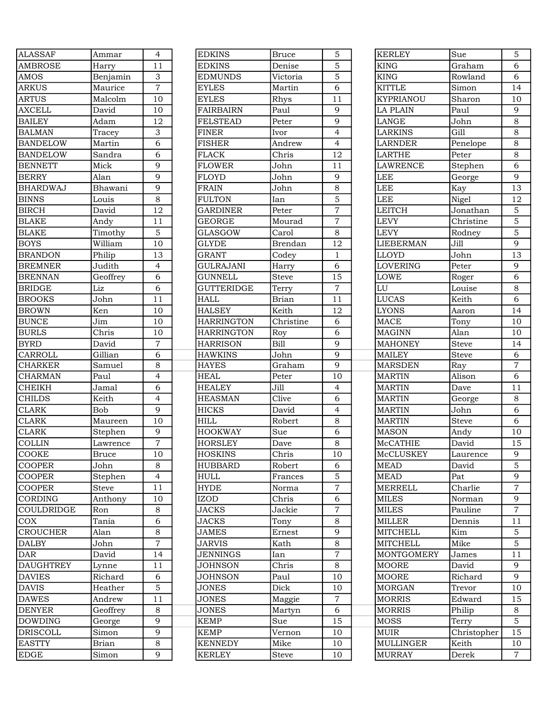| <b>ALASSAF</b>   | Ammar                       | $\overline{4}$           |
|------------------|-----------------------------|--------------------------|
| <b>AMBROSE</b>   | Harry                       | $\overline{11}$          |
| <b>AMOS</b>      | Benjamin                    | 3                        |
| <b>ARKUS</b>     | Maurice                     | $\overline{7}$           |
| <b>ARTUS</b>     | Malcolm                     | 10                       |
| <b>AXCELL</b>    | David                       | 10                       |
| <b>BAILEY</b>    | Adam                        | 12                       |
| <b>BALMAN</b>    | Tracey                      | 3                        |
| <b>BANDELOW</b>  | Martin                      | 6                        |
| <b>BANDELOW</b>  | Sandra                      | $\overline{6}$           |
| <b>BENNETT</b>   | Mick                        | 9                        |
| <b>BERRY</b>     | Alan                        | $\overline{9}$           |
| <b>BHARDWAJ</b>  | Bhawani                     | 9                        |
| <b>BINNS</b>     | Louis                       | $\overline{8}$           |
| <b>BIRCH</b>     | David                       | 12                       |
| <b>BLAKE</b>     | Andy                        | $\overline{11}$          |
| <b>BLAKE</b>     | Timothy                     | $\overline{5}$           |
| <b>BOYS</b>      | William                     | 10                       |
| <b>BRANDON</b>   | Philip                      | 13                       |
| <b>BREMNER</b>   | Judith                      | $\overline{4}$           |
| <b>BRENNAN</b>   | Geoffrey                    | 6                        |
| <b>BRIDGE</b>    | Liz                         | $\overline{6}$           |
| <b>BROOKS</b>    | John                        | 11                       |
| <b>BROWN</b>     | Ken                         | 10                       |
| <b>BUNCE</b>     | Jim                         |                          |
|                  |                             | 10                       |
| <b>BURLS</b>     | Chris                       | 10                       |
| <b>BYRD</b>      | David                       | $\overline{7}$           |
| CARROLL          | Gillian                     | 6                        |
| <b>CHARKER</b>   | Samuel                      | $\overline{8}$           |
| <b>CHARMAN</b>   | Paul                        | $\overline{\mathcal{L}}$ |
| <b>CHEIKH</b>    | Jamal                       | $\overline{6}$           |
| <b>CHILDS</b>    | Keith                       | $\overline{4}$           |
| <b>CLARK</b>     | <b>Bob</b>                  | $\overline{9}$           |
| <b>CLARK</b>     | Maureen                     | 10                       |
| <b>CLARK</b>     | $\overline{\text{Stephen}}$ | 9                        |
| <b>COLLIN</b>    | Lawrence                    | $\overline{7}$           |
| COOKE            | Bruce                       | $\overline{10}$          |
| <b>COOPER</b>    | John                        | 8                        |
| <b>COOPER</b>    | Stephen                     | $\overline{4}$           |
| <b>COOPER</b>    | <b>Steve</b>                | 11                       |
| CORDING          | Anthony                     | 10                       |
| COULDRIDGE       | Ron                         | 8                        |
| <b>COX</b>       | Tania                       | 6                        |
| <b>CROUCHER</b>  | Alan                        | 8                        |
| <b>DALBY</b>     | John                        | 7                        |
| <b>DAR</b>       | David                       | 14                       |
| <b>DAUGHTREY</b> | Lynne                       | 11                       |
| <b>DAVIES</b>    | Richard                     | 6                        |
| <b>DAVIS</b>     | Heather                     | 5                        |
| <b>DAWES</b>     | Andrew                      | 11                       |
| <b>DENYER</b>    | Geoffrey                    | 8                        |
| <b>DOWDING</b>   | George                      | 9                        |
| <b>DRISCOLL</b>  | Simon                       | 9                        |
| <b>EASTTY</b>    | Brian                       | 8                        |
| <b>EDGE</b>      | Simon                       | 9                        |

| <b>ALASSAF</b>   | Ammar            | $\overline{4}$   | <b>EDKINS</b>                | <b>Bruce</b> | 5                    | <b>KERLEY</b>     | Sue              | $\mathbf{5}$    |
|------------------|------------------|------------------|------------------------------|--------------|----------------------|-------------------|------------------|-----------------|
| <b>AMBROSE</b>   | Harry            | 11               | <b>EDKINS</b>                | Denise       | 5                    | <b>KING</b>       | Graham           | 6               |
| AMOS             | Benjamin         | 3                | <b>EDMUNDS</b>               | Victoria     | 5                    | <b>KING</b>       | Rowland          | 6               |
| ARKUS            | Maurice          | $\overline{7}$   | <b>EYLES</b>                 | Martin       | 6                    | <b>KITTLE</b>     | Simon            | 14              |
| <b>ARTUS</b>     | Malcolm          | 10               | <b>EYLES</b>                 | Rhys         | 11                   | <b>KYPRIANOU</b>  | Sharon           | 10              |
| <b>AXCELL</b>    | David            | 10               | <b>FAIRBAIRN</b>             | Paul         | 9                    | <b>LA PLAIN</b>   | Paul             | $\overline{9}$  |
| BAILEY           | Adam             | 12               | <b>FELSTEAD</b>              | Peter        | 9                    | LANGE             | John             | $\,8\,$         |
| <b>BALMAN</b>    | Tracey           | 3                | <b>FINER</b>                 | Ivor         | $\overline{4}$       | <b>LARKINS</b>    | Gill             | $\,8\,$         |
| <b>BANDELOW</b>  | Martin           | 6                | <b>FISHER</b>                | Andrew       | $\overline{4}$       | <b>LARNDER</b>    | Penelope         | $\,8\,$         |
| <b>BANDELOW</b>  | Sandra           | 6                | <b>FLACK</b>                 | Chris        | 12                   | <b>LARTHE</b>     | Peter            | $\,8\,$         |
| <b>BENNETT</b>   | Mick             | 9                | <b>FLOWER</b>                | John         | 11                   | <b>LAWRENCE</b>   | Stephen          | 6               |
| <b>BERRY</b>     | Alan             | 9                | <b>FLOYD</b>                 | John         | 9                    | LEE               | George           | $\overline{9}$  |
| <b>BHARDWAJ</b>  | Bhawani          | 9                | <b>FRAIN</b>                 | John         | 8                    | LEE               | Kay              | $\overline{13}$ |
| <b>BINNS</b>     | Louis            | 8                | <b>FULTON</b>                | Ian          | 5                    | <b>LEE</b>        | Nigel            | 12              |
| <b>BIRCH</b>     | David            | 12               | <b>GARDINER</b>              | Peter        | $\overline{7}$       | <b>LEITCH</b>     | Jonathan         | $\mathbf 5$     |
| <b>BLAKE</b>     | Andy             | 11               | <b>GEORGE</b>                | Mourad       | $\overline{7}$       | <b>LEVY</b>       | Christine        | $\mathbf 5$     |
| BLAKE            | Timothy          | 5                | <b>GLASGOW</b>               | Carol        | 8                    | <b>LEVY</b>       | Rodney           | $\mathbf 5$     |
| <b>BOYS</b>      | William          | 10               | <b>GLYDE</b>                 | Brendan      | 12                   | <b>LIEBERMAN</b>  | Jill             | $\overline{9}$  |
| BRANDON          | Philip           | 13               | <b>GRANT</b>                 | Codey        | $\mathbf{1}$         | LLOYD             | John             | 13              |
| <b>BREMNER</b>   | Judith           | $\overline{4}$   | <b>GULRAJANI</b>             | Harry        | 6                    | <b>LOVERING</b>   | Peter            | 9               |
| <b>BRENNAN</b>   | Geoffrey         | 6                | <b>GUNNELL</b>               | Steve        | 15                   | <b>LOWE</b>       | Roger            | 6               |
| <b>BRIDGE</b>    | Liz              | 6                | <b>GUTTERIDGE</b>            | Terry        | $\overline{7}$       | LU                | Louise           | $\,8\,$         |
| <b>BROOKS</b>    | John             | 11               | <b>HALL</b>                  | <b>Brian</b> | 11                   | <b>LUCAS</b>      | Keith            | 6               |
| <b>BROWN</b>     | Ken              | 10               | <b>HALSEY</b>                | Keith        | 12                   | <b>LYONS</b>      | Aaron            | 14              |
| <b>BUNCE</b>     | Jim              | 10               | <b>HARRINGTON</b>            | Christine    | 6                    | <b>MACE</b>       | Tony             | 10              |
| BURLS            | Chris            | 10               | <b>HARRINGTON</b>            | Roy          | 6                    | <b>MAGINN</b>     | Alan             | 10              |
| <b>BYRD</b>      | David            | $\overline{7}$   | <b>HARRISON</b>              | <b>Bill</b>  | 9                    | <b>MAHONEY</b>    | Steve            | 14              |
| CARROLL          | Gillian          | 6                | <b>HAWKINS</b>               | John         | 9                    | <b>MAILEY</b>     | Steve            | 6               |
| <b>CHARKER</b>   | Samuel           | 8                | <b>HAYES</b>                 | Graham       | 9                    | <b>MARSDEN</b>    | Ray              | $\overline{7}$  |
| <b>CHARMAN</b>   | Paul             | $\overline{4}$   | <b>HEAL</b>                  | Peter        | 10                   | <b>MARTIN</b>     | Alison           | 6               |
| <b>CHEIKH</b>    | Jamal            | 6                | <b>HEALEY</b>                | Jill         | $\overline{4}$       | <b>MARTIN</b>     | Dave             | 11              |
| <b>CHILDS</b>    | Keith            | $\overline{4}$   | <b>HEASMAN</b>               | Clive        | 6                    | <b>MARTIN</b>     | George           | $\,8\,$         |
| <b>CLARK</b>     | Bob              | 9                | <b>HICKS</b>                 | David        | $\overline{4}$       | <b>MARTIN</b>     | John             | 6               |
| <b>CLARK</b>     | Maureen          | 10               | <b>HILL</b>                  | Robert       | 8                    | <b>MARTIN</b>     | <b>Steve</b>     | 6               |
| <b>CLARK</b>     | Stephen          | $\boldsymbol{9}$ | <b>HOOKWAY</b>               | Sue          | 6                    | <b>MASON</b>      | Andy             | 10              |
| <b>COLLIN</b>    | Lawrence         | $\overline{7}$   | <b>HORSLEY</b>               | Dave         | 8                    | McCATHIE          | David            | 15              |
| COOKE            | <b>Bruce</b>     | 10               | <b>HOSKINS</b>               | Chris        | 10                   | McCLUSKEY         | Laurence         | 9               |
| <b>COOPER</b>    | John             | 8                | <b>HUBBARD</b>               | Robert       | 6                    | <b>MEAD</b>       | David            | 5               |
| <b>COOPER</b>    | Stephen          | 4                | <b>HULL</b>                  | Frances      | 5                    | <b>MEAD</b>       | Pat              | 9               |
| <b>COOPER</b>    | <b>Steve</b>     | 11               | <b>HYDE</b>                  | Norma        | $\overline{7}$       | <b>MERRELL</b>    | Charlie          | $\sqrt{ }$      |
| CORDING          | Anthony          | 10               | <b>IZOD</b>                  | Chris        | 6                    | <b>MILES</b>      | Norman           | 9               |
| COULDRIDGE       | Ron              | 8                | <b>JACKS</b>                 | Jackie       | 7                    | <b>MILES</b>      | Pauline          | $\overline{7}$  |
| COX              | Tania            | 6                | <b>JACKS</b>                 | Tony         | 8                    | <b>MILLER</b>     | Dennis           | 11              |
| <b>CROUCHER</b>  | Alan             | 8                | JAMES                        | Ernest       | 9                    | <b>MITCHELL</b>   | Kim              | 5               |
| <b>DALBY</b>     | John             | $\overline{7}$   | <b>JARVIS</b>                | Kath         | 8                    | <b>MITCHELL</b>   | Mike             | $\overline{5}$  |
| DAR              | David            | 14               | <b>JENNINGS</b>              | Ian          | $\overline{7}$       | <b>MONTGOMERY</b> | James            | $11$            |
| <b>DAUGHTREY</b> |                  | 11               | <b>JOHNSON</b>               | Chris        | 8                    | <b>MOORE</b>      | David            | 9               |
| <b>DAVIES</b>    | Lynne<br>Richard | 6                | <b>JOHNSON</b>               | Paul         | 10                   | <b>MOORE</b>      | Richard          | 9               |
|                  |                  |                  |                              |              |                      |                   |                  |                 |
| <b>DAVIS</b>     | Heather          | 5<br>11          | <b>JONES</b><br><b>JONES</b> | Dick         | 10<br>$\overline{7}$ | <b>MORGAN</b>     | Trevor<br>Edward | 10              |
| <b>DAWES</b>     | Andrew           |                  |                              | Maggie       |                      | <b>MORRIS</b>     |                  | 15              |
| DENYER           | Geoffrey         | 8                | <b>JONES</b>                 | Martyn       | 6                    | <b>MORRIS</b>     | Philip           | 8               |
| DOWDING          | George           | 9                | <b>KEMP</b>                  | Sue          | 15                   | MOSS              | Terry            | $\overline{5}$  |
| DRISCOLL         | Simon            | 9                | <b>KEMP</b>                  | Vernon       | 10                   | MUIR              | Christopher      | 15              |
| EASTTY           | Brian            | 8                | <b>KENNEDY</b>               | Mike         | 10                   | <b>MULLINGER</b>  | Keith            | 10              |
| EDGE             | Simon            | 9                | <b>KERLEY</b>                | Steve        | 10                   | <b>MURRAY</b>     | Derek            | $7^{\circ}$     |

| KERLEY                  | Sue                | 5                   |
|-------------------------|--------------------|---------------------|
| KING                    | Graham             | $\overline{6}$      |
| KING                    | Rowland            | 6                   |
| KITTLE                  | Simon              | $\overline{14}$     |
| <b>KYPRIANOU</b>        | Sharon             | 10                  |
| LA PLAIN                | Paul               | 9                   |
| LANGE                   | John               | 8                   |
| LARKINS                 | Gill               | 8                   |
| LARNDER                 | Penelope           | 8                   |
| LARTHE                  | Peter              | 8                   |
| LAWRENCE                | Stephen            | $\overline{6}$      |
| LEE                     | George             | $\overline{9}$      |
| LEE                     | Kay                | 13                  |
| $\overline{\text{LEE}}$ | Nigel              | 12                  |
| LEITCH                  | Jonathan           | 5                   |
| LEVY                    | Christine          | $\overline{5}$      |
| LEVY                    | Rodney             | $\overline{5}$      |
| LIEBERMAN               | $\overline{J}$ ill | $\overline{9}$      |
| LLOYD                   | John               | $\overline{13}$     |
| LOVERING                | Peter              | 9                   |
| LOWE                    | Roger              | $\overline{6}$      |
| LU                      | Louise             | 8                   |
| LUCAS                   | Keith              | $\overline{6}$      |
| LYONS                   |                    | $\overline{14}$     |
| MACE                    | Aaron              | 10                  |
|                         | Tony               |                     |
| MAGINN                  | Alan               | 10                  |
| <b>MAHONEY</b>          | <b>Steve</b>       | 14                  |
| MAILEY                  | <b>Steve</b>       | 6<br>$\overline{7}$ |
| <b>MARSDEN</b>          | Ray                |                     |
| <b>MARTIN</b>           | Alison             | 6                   |
| <b>MARTIN</b>           | Dave               | 11                  |
| <b>MARTIN</b>           | George             | 8                   |
| <b>MARTIN</b>           | John               | $\overline{6}$      |
| <b>MARTIN</b>           | <b>Steve</b>       | 6                   |
| MASON                   | Andy               | 10                  |
| McCATHIE                | David              | 15                  |
| McCLUSKEY               | Laurence           | 9                   |
| MEAD                    | David              | $\overline{5}$      |
| <b>MEAD</b>             | Pat                | 9                   |
| MERRELL                 | Charlie            | $\overline{7}$      |
| <b>MILES</b>            | Norman             | 9                   |
| <b>MILES</b>            | Pauline            | $\overline{7}$      |
| MILLER                  | Dennis             | 11                  |
| MITCHELL                | Kim                | 5                   |
| MITCHELL                | Mike               | 5                   |
| MONTGOMERY              | James              | 11                  |
| MOORE                   | David              | 9                   |
| MOORE                   | Richard            | 9                   |
| MORGAN                  | Trevor             | 10                  |
| MORRIS                  | Edward             | 15                  |
| MORRIS                  | Philip             | 8                   |
| MOSS                    | Terry              | $\overline{5}$      |
| MUIR                    | Christopher        | 15                  |
| MULLINGER               | Keith              | 10                  |
| <b>MURRAY</b>           | Derek              | $\overline{7}$      |
|                         |                    |                     |